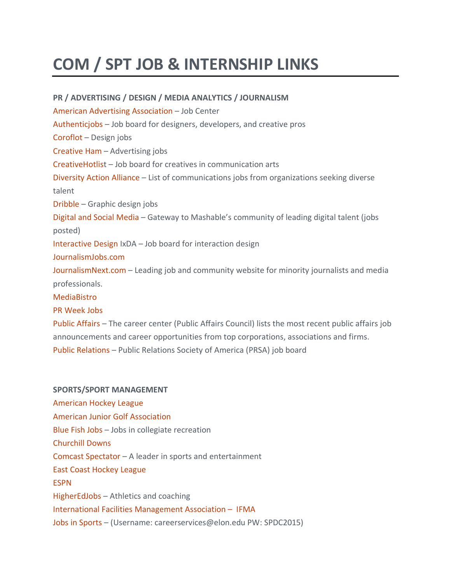## **COM / SPT JOB & INTERNSHIP LINKS**

**PR / ADVERTISING / DESIGN / MEDIA ANALYTICS / JOURNALISM** American Advertising [Association](https://jobs.aaf.org/) – Job Center [Authenticjobs](https://authenticjobs.com/) – Job board for designers, developers, and creative pros [Coroflot](https://www.coroflot.com/design-jobs) – Design jobs [Creative](https://thecreativeham.com/advertising-jobs/) Ham – Advertising jobs [CreativeHotlist](https://www.creativehotlist.com/) – Job board for creatives in communication arts [Diversity](https://www.diversityactionalliance.org/jobs) Action Alliance – List of communications jobs from organizations seeking diverse talent [Dribble](https://dribbble.com/jobs) – Graphic design jobs [Digital](https://jobs.mashable.com/jobs/search/results) and Social Media – Gateway to Mashable's community of leading digital talent (jobs posted) [Interactive](https://ixda.org/) Design IxDA – Job board for interaction design [JournalismJobs.com](https://www.journalismjobs.com/index.php/) [JournalismNext.com](https://www.journalismnext.com/) – Leading job and community website for minority journalists and media professionals. [MediaBistro](https://www.mediabistro.com/jobs/) PR [Week](https://careers.prweekus.com/) Jobs Public [Affairs](https://pac.org/jobs) – The career center (Public Affairs Council) lists the most recent public affairs job announcements and career opportunities from top corporations, associations and firms.

Public [Relations](https://jobs.prsa.org/) – Public Relations Society of America (PRSA) job board

## **SPORTS/SPORT MANAGEMENT** [American](https://www.teamworkonline.com/hockey-jobs/theahl/ahl-league-office) Hockey League American Junior Golf [Association](https://www.ajga.org/about/careers) [Blue](https://www.bluefishjobs.com/) Fish Jobs – Jobs in collegiate recreation [Churchill](http://www.churchilldownsincorporated.com/careers) Downs Comcast [Spectator](https://www.teamworkonline.com/arenas-facilities-jobs/comcast-spectacor/comcast-spectacor-jobs) – A leader in sports and entertainment East Coast [Hockey](https://www.teamworkonline.com/hockey-jobs/echl/echl-league-office) League [ESPN](https://jobs.disneycareers.com/category/espn-jobs/391-1635/2257/1) [HigherEdJobs](https://www.higheredjobs.com/admin/search.cfm?JobCat=16) – Athletics and coaching International Facilities [Management](https://ifma.careerwebsite.com/) Association – IFMA Jobs in [Sports](https://www.jobsinsports.com/) – (Username: careerservices@elon.edu PW: SPDC2015)